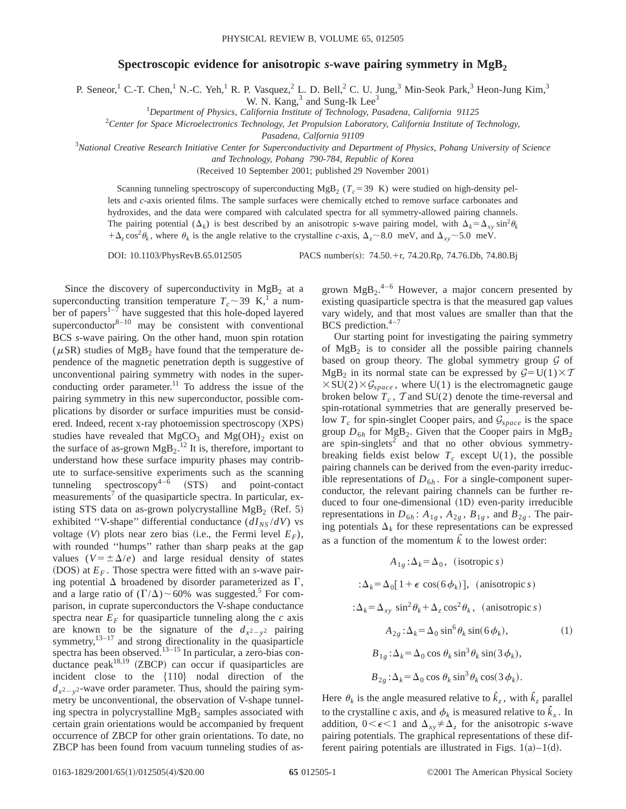## **Spectroscopic evidence for anisotropic** *s***-wave pairing symmetry in MgB**<sub>2</sub>

P. Seneor,<sup>1</sup> C.-T. Chen,<sup>1</sup> N.-C. Yeh,<sup>1</sup> R. P. Vasquez,<sup>2</sup> L. D. Bell,<sup>2</sup> C. U. Jung,<sup>3</sup> Min-Seok Park,<sup>3</sup> Heon-Jung Kim,<sup>3</sup>

W. N. Kang,<sup>3</sup> and Sung-Ik Lee<sup>3</sup>

1 *Department of Physics, California Institute of Technology, Pasadena, California 91125*

2 *Center for Space Microelectronics Technology, Jet Propulsion Laboratory, California Institute of Technology,*

*Pasadena, Calfornia 91109*

3 *National Creative Research Initiative Center for Superconductivity and Department of Physics, Pohang University of Science*

*and Technology, Pohang 790-784, Republic of Korea*

(Received 10 September 2001; published 29 November 2001)

Scanning tunneling spectroscopy of superconducting MgB<sub>2</sub> ( $T_c$ =39 K) were studied on high-density pellets and *c*-axis oriented films. The sample surfaces were chemically etched to remove surface carbonates and hydroxides, and the data were compared with calculated spectra for all symmetry-allowed pairing channels. The pairing potential  $(\Delta_k)$  is best described by an anisotropic *s*-wave pairing model, with  $\Delta_k = \Delta_{xy} \sin^2 \theta_k$  $+\Delta_z \cos^2 \theta_k$ , where  $\theta_k$  is the angle relative to the crystalline *c*-axis,  $\Delta_z \sim 8.0$  meV, and  $\Delta_{xy} \sim 5.0$  meV.

DOI: 10.1103/PhysRevB.65.012505 PACS number(s): 74.50.+r, 74.20.Rp, 74.76.Db, 74.80.Bj

Since the discovery of superconductivity in  $MgB<sub>2</sub>$  at a superconducting transition temperature  $T_c \sim 39 \text{ K}^1$ , a number of papers<sup>1–7</sup> have suggested that this hole-doped layered superconductor $8-10$  may be consistent with conventional BCS *s*-wave pairing. On the other hand, muon spin rotation ( $\mu$ SR) studies of MgB<sub>2</sub> have found that the temperature dependence of the magnetic penetration depth is suggestive of unconventional pairing symmetry with nodes in the superconducting order parameter.<sup>11</sup> To address the issue of the pairing symmetry in this new superconductor, possible complications by disorder or surface impurities must be considered. Indeed, recent  $x$ -ray photoemission spectroscopy  $(XPS)$ studies have revealed that  $MgCO<sub>3</sub>$  and  $Mg(OH)<sub>2</sub>$  exist on the surface of as-grown  $MgB_2$ .<sup>12</sup> It is, therefore, important to understand how these surface impurity phases may contribute to surface-sensitive experiments such as the scanning tunneling spectroscopy<sup>4– $\overline{6}$ </sup> (STS) and point-contact measurements<sup>7</sup> of the quasiparticle spectra. In particular, existing STS data on as-grown polycrystalline  $MgB_2$  (Ref. 5) exhibited "V-shape" differential conductance  $(dI_{NS}/dV)$  vs voltage  $(V)$  plots near zero bias (i.e., the Fermi level  $E_F$ ), with rounded "humps" rather than sharp peaks at the gap values ( $V = \pm \Delta/e$ ) and large residual density of states (DOS) at  $E_F$ . Those spectra were fitted with an *s*-wave pairing potential  $\Delta$  broadened by disorder parameterized as  $\Gamma$ , and a large ratio of  $(\Gamma/\Delta)$  ~60% was suggested.<sup>5</sup> For comparison, in cuprate superconductors the V-shape conductance spectra near  $E_F$  for quasiparticle tunneling along the  $c$  axis are known to be the signature of the  $d_{x^2-y^2}$  pairing symmetry, $13-17$  and strong directionality in the quasiparticle spectra has been observed. $13-15$  In particular, a zero-bias conductance peak<sup>18,19</sup> (ZBCP) can occur if quasiparticles are incident close to the  $\{110\}$  nodal direction of the  $d_{x^2-y^2}$ -wave order parameter. Thus, should the pairing symmetry be unconventional, the observation of V-shape tunneling spectra in polycrystalline  $MgB<sub>2</sub>$  samples associated with certain grain orientations would be accompanied by frequent occurrence of ZBCP for other grain orientations. To date, no ZBCP has been found from vacuum tunneling studies of as-

grown  $MgB_2$ <sup>4-6</sup> However, a major concern presented by existing quasiparticle spectra is that the measured gap values vary widely, and that most values are smaller than that the BCS prediction. $4-7$ 

Our starting point for investigating the pairing symmetry of  $Mg_{B_2}$  is to consider all the possible pairing channels based on group theory. The global symmetry group  $G$  of  $MgB_2$  in its normal state can be expressed by  $G=U(1)\times T$  $\times$ SU(2) $\times$ G<sub>space</sub>, where U(1) is the electromagnetic gauge broken below  $T_c$ ,  $\tau$  and SU(2) denote the time-reversal and spin-rotational symmetries that are generally preserved below  $T_c$  for spin-singlet Cooper pairs, and  $\mathcal{G}_{space}$  is the space group  $D_{6h}$  for MgB<sub>2</sub>. Given that the Cooper pairs in MgB<sub>2</sub> are spin-singlets<sup>2</sup> and that no other obvious symmetrybreaking fields exist below  $T_c$  except  $U(1)$ , the possible pairing channels can be derived from the even-parity irreducible representations of  $D_{6h}$ . For a single-component superconductor, the relevant pairing channels can be further reduced to four one-dimensional (1D) even-parity irreducible representations in  $D_{6h}$ :  $A_{1g}$ ,  $A_{2g}$ ,  $B_{1g}$ , and  $B_{2g}$ . The pairing potentials  $\Delta_k$  for these representations can be expressed as a function of the momentum  $\vec{k}$  to the lowest order:

$$
A_{1g} : \Delta_k = \Delta_0, \text{ (isotropic } s)
$$
  
\n
$$
:\Delta_k = \Delta_0 [1 + \epsilon \cos(\theta \phi_k)], \text{ (anisotropic } s)
$$
  
\n
$$
:\Delta_k = \Delta_{xy} \sin^2 \theta_k + \Delta_z \cos^2 \theta_k, \text{ (anisotropic } s)
$$
  
\n
$$
A_{2g} : \Delta_k = \Delta_0 \sin^6 \theta_k \sin(\theta \phi_k), \text{ (1)}
$$
  
\n
$$
B_{1g} : \Delta_k = \Delta_0 \cos \theta_k \sin^3 \theta_k \sin(3 \phi_k),
$$
  
\n
$$
B_{2g} : \Delta_k = \Delta_0 \cos \theta_k \sin^3 \theta_k \cos(3 \phi_k).
$$

Here  $\theta_k$  is the angle measured relative to  $\hat{k}_z$ , with  $\hat{k}_z$  parallel to the crystalline c axis, and  $\phi_k$  is measured relative to  $\hat{k}_x$ . In addition,  $0 \lt \epsilon \lt 1$  and  $\Delta_{xy} \neq \Delta_z$  for the anisotropic *s*-wave pairing potentials. The graphical representations of these different pairing potentials are illustrated in Figs.  $1(a)-1(d)$ .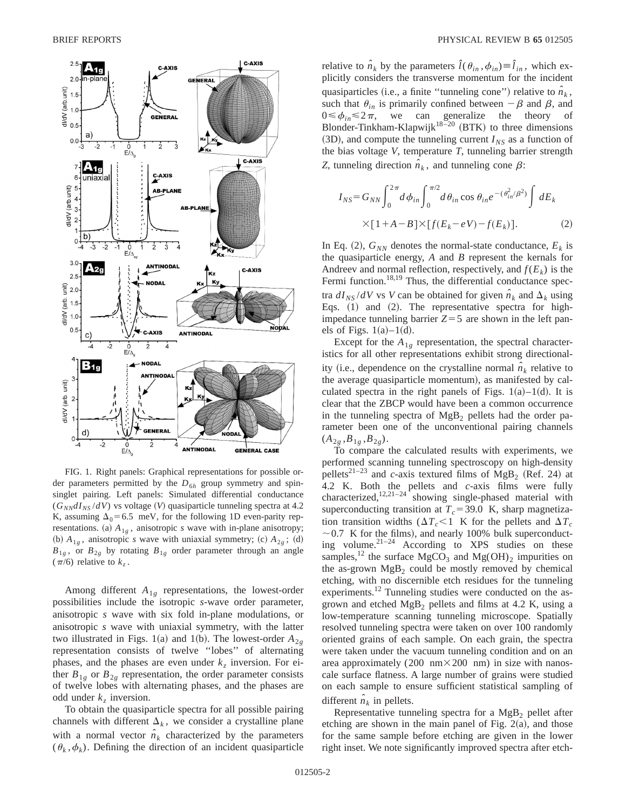

FIG. 1. Right panels: Graphical representations for possible order parameters permitted by the  $D_{6h}$  group symmetry and spinsinglet pairing. Left panels: Simulated differential conductance  $(G_{NN}dI_{NS}/dV)$  vs voltage (V) quasiparticle tunneling spectra at 4.2 K, assuming  $\Delta_0$ =6.5 meV, for the following 1D even-parity representations. (a)  $A_{1g}$ , anisotropic *s* wave with in-plane anisotropy; (b)  $A_{1g}$ , anisotropic *s* wave with uniaxial symmetry; (c)  $A_{2g}$ ; (d)  $B_{1g}$ , or  $B_{2g}$  by rotating  $B_{1g}$  order parameter through an angle  $(\pi/6)$  relative to  $k_z$ .

Among different *A*1*<sup>g</sup>* representations, the lowest-order possibilities include the isotropic *s*-wave order parameter, anisotropic *s* wave with six fold in-plane modulations, or anisotropic *s* wave with uniaxial symmetry, with the latter two illustrated in Figs. 1(a) and 1(b). The lowest-order  $A_{2g}$ representation consists of twelve ''lobes'' of alternating phases, and the phases are even under  $k<sub>z</sub>$  inversion. For either  $B_{1g}$  or  $B_{2g}$  representation, the order parameter consists of twelve lobes with alternating phases, and the phases are odd under  $k_z$  inversion.

To obtain the quasiparticle spectra for all possible pairing channels with different  $\Delta_k$ , we consider a crystalline plane with a normal vector  $\hat{n}_k$  characterized by the parameters  $(\theta_k, \phi_k)$ . Defining the direction of an incident quasiparticle

relative to  $\hat{n}_k$  by the parameters  $\hat{l}(\theta_{in}, \phi_{in}) \equiv \hat{l}_{in}$ , which explicitly considers the transverse momentum for the incident quasiparticles (i.e., a finite "tunneling cone") relative to  $\hat{n}_k$ , such that  $\theta_{in}$  is primarily confined between  $-\beta$  and  $\beta$ , and  $0 \le \phi_{in} \le 2\pi$ , we can generalize the theory of Blonder-Tinkham-Klapwijk $18-20$  (BTK) to three dimensions  $(3D)$ , and compute the tunneling current  $I_{NS}$  as a function of the bias voltage *V*, temperature *T*, tunneling barrier strength *Z*, tunneling direction  $\hat{n}_k$ , and tunneling cone  $\beta$ :

$$
I_{NS} = G_{NN} \int_0^{2\pi} d\phi_{in} \int_0^{\pi/2} d\theta_{in} \cos \theta_{in} e^{-(\theta_{in}^2/\beta^2)} \int dE_k
$$
  
×[1+A-B]×[ $f(E_k-eV)-f(E_k)$ ]. (2)

In Eq. (2),  $G_{NN}$  denotes the normal-state conductance,  $E_k$  is the quasiparticle energy, *A* and *B* represent the kernals for Andreev and normal reflection, respectively, and  $f(E_k)$  is the Fermi function.<sup>18,19</sup> Thus, the differential conductance spectra  $dI_{NS}/dV$  vs *V* can be obtained for given  $\hat{n}_k$  and  $\Delta_k$  using Eqs.  $(1)$  and  $(2)$ . The representative spectra for highimpedance tunneling barrier  $Z = 5$  are shown in the left panels of Figs.  $1(a)-1(d)$ .

Except for the  $A_{1g}$  representation, the spectral characteristics for all other representations exhibit strong directionality (i.e., dependence on the crystalline normal  $n<sub>k</sub>$  relative to the average quasiparticle momentum), as manifested by calculated spectra in the right panels of Figs.  $1(a) - 1(d)$ . It is clear that the ZBCP would have been a common occurrence in the tunneling spectra of  $MgB<sub>2</sub>$  pellets had the order parameter been one of the unconventional pairing channels  $(A_{2g}, B_{1g}, B_{2g}).$ 

To compare the calculated results with experiments, we performed scanning tunneling spectroscopy on high-density pellets<sup>21–23</sup> and *c*-axis textured films of  $MgB_2$  (Ref. 24) at 4.2 K. Both the pellets and *c*-axis films were fully characterized, $12,21-24$  showing single-phased material with superconducting transition at  $T_c$ =39.0 K, sharp magnetization transition widths ( $\Delta T_c$ <1 K for the pellets and  $\Delta T_c$  $\sim$  0.7 K for the films), and nearly 100% bulk superconducting volume. $2^{1-24}$  According to XPS studies on these samples,<sup>12</sup> the surface MgCO<sub>3</sub> and Mg(OH)<sub>2</sub> impurities on the as-grown  $MgB_2$  could be mostly removed by chemical etching, with no discernible etch residues for the tunneling experiments.<sup>12</sup> Tunneling studies were conducted on the asgrown and etched MgB2 pellets and films at 4.2 K, using a low-temperature scanning tunneling microscope. Spatially resolved tunneling spectra were taken on over 100 randomly oriented grains of each sample. On each grain, the spectra were taken under the vacuum tunneling condition and on an area approximately (200 nm $\times$ 200 nm) in size with nanoscale surface flatness. A large number of grains were studied on each sample to ensure sufficient statistical sampling of different  $\hat{n}_k$  in pellets.

Representative tunneling spectra for a  $MgB<sub>2</sub>$  pellet after etching are shown in the main panel of Fig.  $2(a)$ , and those for the same sample before etching are given in the lower right inset. We note significantly improved spectra after etch-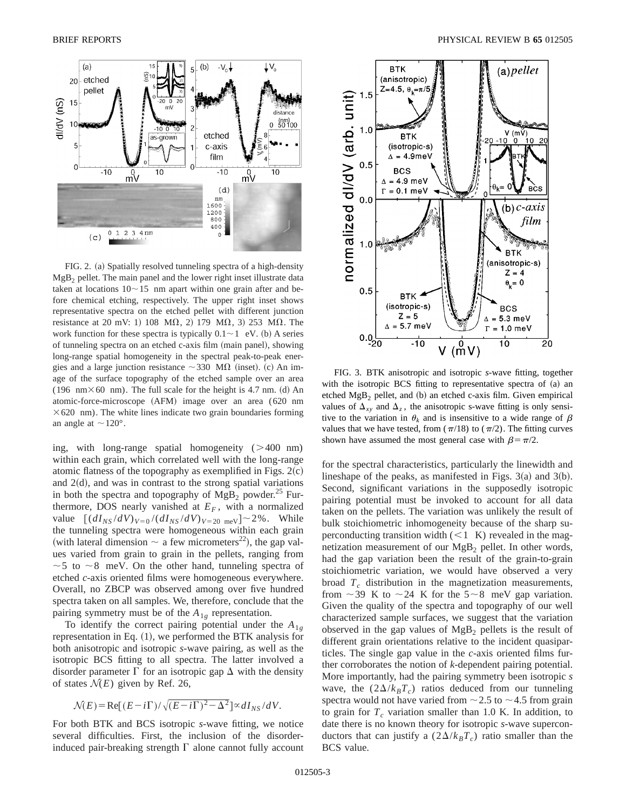

FIG. 2. (a) Spatially resolved tunneling spectra of a high-density  $MgB<sub>2</sub>$  pellet. The main panel and the lower right inset illustrate data taken at locations  $10 \sim 15$  nm apart within one grain after and before chemical etching, respectively. The upper right inset shows representative spectra on the etched pellet with different junction resistance at 20 mV: 1) 108  $M_{\Omega}$ , 2) 179  $M_{\Omega}$ , 3) 253  $M_{\Omega}$ . The work function for these spectra is typically  $0.1 \sim 1$  eV. (b) A series of tunneling spectra on an etched c-axis film (main panel), showing long-range spatial homogeneity in the spectral peak-to-peak energies and a large junction resistance  $\sim$  330 M $\Omega$  (inset). (c) An image of the surface topography of the etched sample over an area (196 nm $\times$ 60 nm). The full scale for the height is 4.7 nm. (d) An atomic-force-microscope (AFM) image over an area (620 nm  $\times$  620 nm). The white lines indicate two grain boundaries forming an angle at  $\sim$  120°.

ing, with long-range spatial homogeneity  $(>400 \text{ nm})$ within each grain, which correlated well with the long-range atomic flatness of the topography as exemplified in Figs.  $2(c)$ and  $2(d)$ , and was in contrast to the strong spatial variations in both the spectra and topography of  $MgB_2$  powder.<sup>25</sup> Furthermore, DOS nearly vanished at  $E_F$ , with a normalized value  $[(dI_{NS}/dV)_{V=0}/(dI_{NS}/dV)_{V=20 \text{ meV}}] \sim 2\%$ . While the tunneling spectra were homogeneous within each grain (with lateral dimension  $\sim$  a few micrometers<sup>22</sup>), the gap values varied from grain to grain in the pellets, ranging from  $\sim$  5 to  $\sim$  8 meV. On the other hand, tunneling spectra of etched *c*-axis oriented films were homogeneous everywhere. Overall, no ZBCP was observed among over five hundred spectra taken on all samples. We, therefore, conclude that the pairing symmetry must be of the  $A_{1g}$  representation.

To identify the correct pairing potential under the  $A_{1g}$ representation in Eq.  $(1)$ , we performed the BTK analysis for both anisotropic and isotropic *s*-wave pairing, as well as the isotropic BCS fitting to all spectra. The latter involved a disorder parameter  $\Gamma$  for an isotropic gap  $\Delta$  with the density of states  $\mathcal{N}(E)$  given by Ref. 26,

$$
\mathcal{N}(E) = \text{Re}[(E - i\Gamma)/\sqrt{(E - i\Gamma)^2 - \Delta^2}] \propto dI_{NS}/dV.
$$

For both BTK and BCS isotropic *s*-wave fitting, we notice several difficulties. First, the inclusion of the disorderinduced pair-breaking strength  $\Gamma$  alone cannot fully account



FIG. 3. BTK anisotropic and isotropic *s*-wave fitting, together with the isotropic BCS fitting to representative spectra of  $(a)$  and etched  $MgB_2$  pellet, and (b) an etched c-axis film. Given empirical values of  $\Delta_{xy}$  and  $\Delta_{z}$ , the anisotropic s-wave fitting is only sensitive to the variation in  $\theta_k$  and is insensitive to a wide range of  $\beta$ values that we have tested, from  $(\pi/18)$  to  $(\pi/2)$ . The fitting curves shown have assumed the most general case with  $\beta = \pi/2$ .

for the spectral characteristics, particularly the linewidth and lineshape of the peaks, as manifested in Figs.  $3(a)$  and  $3(b)$ . Second, significant variations in the supposedly isotropic pairing potential must be invoked to account for all data taken on the pellets. The variation was unlikely the result of bulk stoichiometric inhomogeneity because of the sharp superconducting transition width  $(< 1$  K) revealed in the magnetization measurement of our  $MgB<sub>2</sub>$  pellet. In other words, had the gap variation been the result of the grain-to-grain stoichiometric variation, we would have observed a very broad  $T_c$  distribution in the magnetization measurements, from  $\sim$  39 K to  $\sim$  24 K for the 5 $\sim$ 8 meV gap variation. Given the quality of the spectra and topography of our well characterized sample surfaces, we suggest that the variation observed in the gap values of  $MgB<sub>2</sub>$  pellets is the result of different grain orientations relative to the incident quasiparticles. The single gap value in the *c*-axis oriented films further corroborates the notion of *k*-dependent pairing potential. More importantly, had the pairing symmetry been isotropic *s* wave, the  $(2\Delta/k_BT_c)$  ratios deduced from our tunneling spectra would not have varied from  $\sim$  2.5 to  $\sim$  4.5 from grain to grain for  $T_c$  variation smaller than 1.0 K. In addition, to date there is no known theory for isotropic *s*-wave superconductors that can justify a  $(2\Delta/k_BT_c)$  ratio smaller than the BCS value.